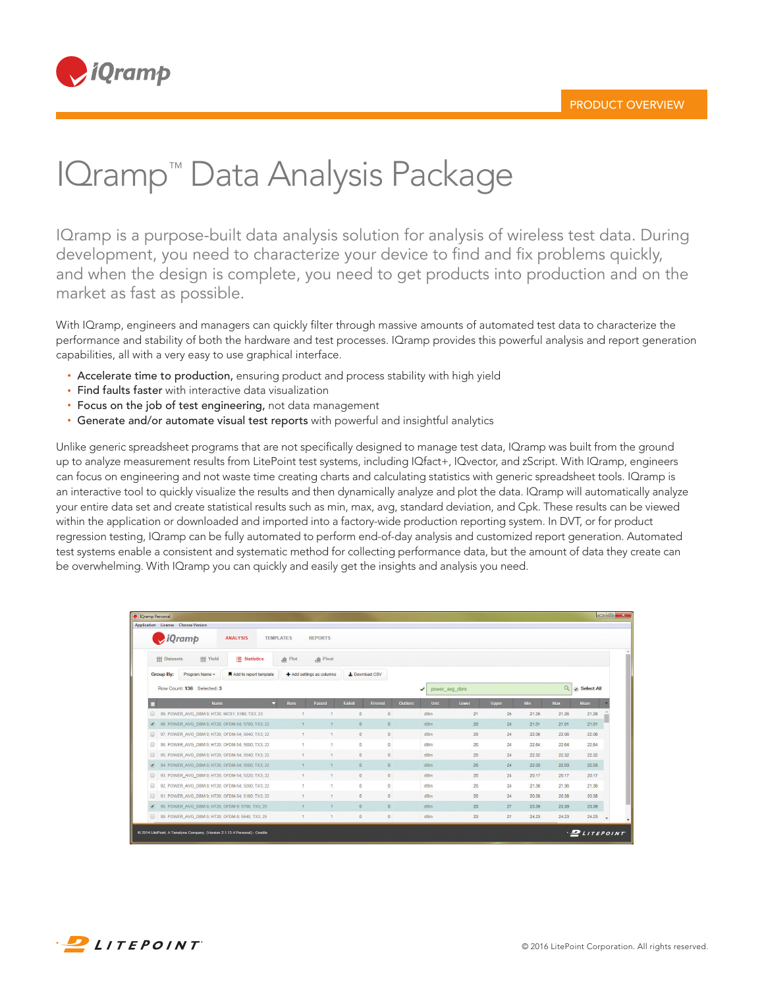

## IQramp™ Data Analysis Package

IQramp is a purpose-built data analysis solution for analysis of wireless test data. During development, you need to characterize your device to find and fix problems quickly, and when the design is complete, you need to get products into production and on the market as fast as possible.

With IQramp, engineers and managers can quickly filter through massive amounts of automated test data to characterize the performance and stability of both the hardware and test processes. IQramp provides this powerful analysis and report generation capabilities, all with a very easy to use graphical interface.

- Accelerate time to production, ensuring product and process stability with high yield
- Find faults faster with interactive data visualization
- Focus on the job of test engineering, not data management
- Generate and/or automate visual test reports with powerful and insightful analytics

Unlike generic spreadsheet programs that are not specifically designed to manage test data, IQramp was built from the ground up to analyze measurement results from LitePoint test systems, including IQfact+, IQvector, and zScript. With IQramp, engineers can focus on engineering and not waste time creating charts and calculating statistics with generic spreadsheet tools. IQramp is an interactive tool to quickly visualize the results and then dynamically analyze and plot the data. IQramp will automatically analyze your entire data set and create statistical results such as min, max, avg, standard deviation, and Cpk. These results can be viewed within the application or downloaded and imported into a factory-wide production reporting system. In DVT, or for product regression testing, IQramp can be fully automated to perform end-of-day analysis and customized report generation. Automated test systems enable a consistent and systematic method for collecting performance data, but the amount of data they create can be overwhelming. With IQramp you can quickly and easily get the insights and analysis you need.

|                          | <b>C</b> IQramp Personal<br>Application License Choose Version |                  |                         |                          |                |                                |               |              |            |       |                   |  |
|--------------------------|----------------------------------------------------------------|------------------|-------------------------|--------------------------|----------------|--------------------------------|---------------|--------------|------------|-------|-------------------|--|
|                          | <i>iQramp</i><br><b>ANALYSIS</b>                               | <b>TEMPLATES</b> | <b>REPORTS</b>          |                          |                |                                |               |              |            |       |                   |  |
|                          | $\equiv$ Statistics<br><b>III</b> Yield<br><b>III</b> Datasets | all Plot         | <b>July</b> Pivot       |                          |                |                                |               |              |            |       |                   |  |
|                          | Add to report template<br><b>Group By:</b><br>Program Name -   |                  | Add settings as columns |                          | L Download CSV |                                |               |              |            |       |                   |  |
|                          | Row Count: 136 Selected: 3                                     |                  |                         |                          |                | ✔                              | power avg dbm |              |            | Q     | <b>Select All</b> |  |
| м                        | <b>Name</b><br>۰                                               | <b>Runs</b>      | Passed                  | Failed<br><b>Errored</b> |                | <b>Outliers</b><br><b>Unit</b> | Lower         | <b>Upper</b> | <b>Min</b> | Max   | Mean              |  |
|                          | 99, POWER AVG DBM 0; HT20; MCS1; 5180; TX3; 23                 |                  | 4                       | $\circ$                  | $\circ$        | dBm                            | 21            | 25           | 21.26      | 21.26 | 21.26             |  |
| ✔                        | 98. POWER AVG DBM 0; HT20; OFDM-54; 5700; TX3; 22              | $\blacksquare$   | $\overline{1}$          | $\bullet$                | $\circ$        | dBm                            | 20            | 24           | 21.01      | 21.01 | 21.01             |  |
| $\Box$                   | 97, POWER AVG DBM 0; HT20; OFDM-54; 5640; TX3; 22              | $\mathbf{1}$     | $\mathbf{1}$            | $\circ$                  | $\circ$        | dBm                            | 20            | 24           | 22.06      | 22.06 | 22.06             |  |
| $\Box$                   | 96. POWER AVG DBM 0; HT20; OFDM-54; 5600; TX3; 22              |                  | и                       | $\mathbf 0$              | $\circ$        | dBm                            | 20            | 24           | 22.64      | 22.64 | 22.64             |  |
| $\Box$                   | 95. POWER AVG DBM 0; HT20; OFDM-54; 5540; TX3; 22              | ÷                | $\overline{1}$          | $\mathbf{0}$             | $\circ$        | dBm                            | 20            | 24           | 22.32      | 22.32 | 22.32             |  |
| $\overline{\mathcal{L}}$ | 94. POWER AVG DBM 0; HT20; OFDM-54; 5500; TX3; 22              | 1.               | $\overline{1}$          | $\bullet$                | $\circ$        | dBm                            | 20            | 24           | 22.03      | 22.03 | 22.03             |  |
| $\Box$                   | 93. POWER_AVG_DBM 0; HT20; OFDM-54; 5320; TX3; 22              | $\mathbf{1}$     | $\mathbf{1}$            | $\circ$                  | $\circ$        | dBm                            | 20            | 24           | 20.17      | 20.17 | 20.17             |  |
| $\square$                | 92. POWER_AVG_DBM 0; HT20; OFDM-54; 5260; TX3; 22              | ×                | 11                      | $\bullet$                | $\circ$        | dBm                            | 20            | 24           | 21.36      | 21.36 | 21.36             |  |
| $\Box$                   | 91, POWER AVG DBM 0: HT20: OFDM-54: 5180: TX3: 22              |                  | $\overline{1}$          | $\bullet$                | $\mathbf{0}$   | dBm                            | 20            | 24           | 20.38      | 20.38 | 20.38             |  |
|                          | 90. POWER AVG DBM 0: HT20: OFDM-9: 5700: TX3: 25               | $\mathbf{f}$     | $\mathbf{1}$            | $\bullet$                | $\overline{0}$ | dBm                            | 23            | 27           | 23.39      | 23.39 | 23.39             |  |
| $\blacktriangleright$    |                                                                |                  |                         |                          | $\mathbf{0}$   | dBm                            | 23            | 27           | 24.23      | 24.23 | 24.23             |  |